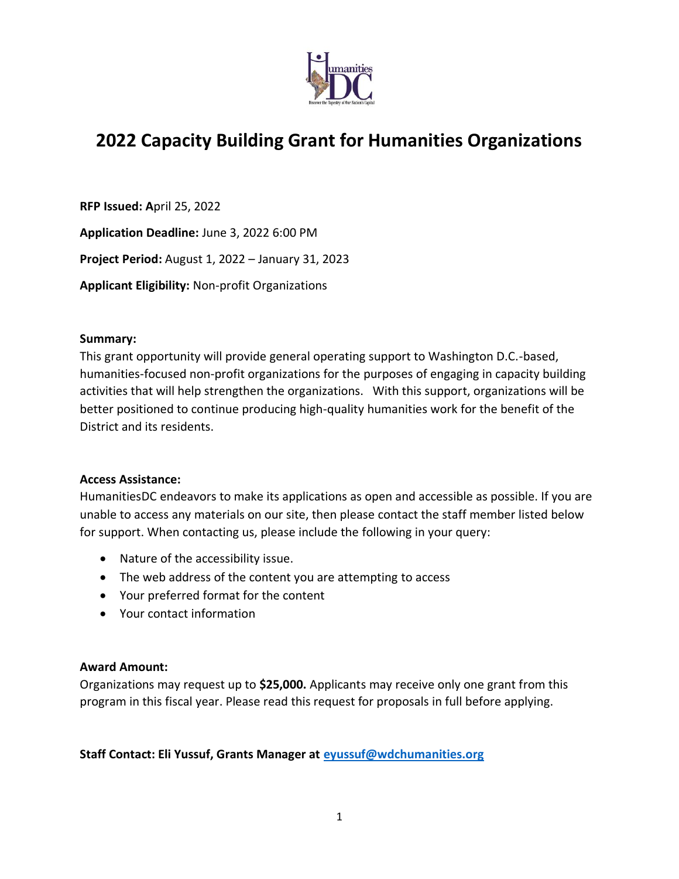

# **2022 Capacity Building Grant for Humanities Organizations**

**RFP Issued: A**pril 25, 2022

**Application Deadline:** June 3, 2022 6:00 PM

**Project Period:** August 1, 2022 – January 31, 2023

**Applicant Eligibility:** Non-profit Organizations

#### **Summary:**

This grant opportunity will provide general operating support to Washington D.C.-based, humanities-focused non-profit organizations for the purposes of engaging in capacity building activities that will help strengthen the organizations. With this support, organizations will be better positioned to continue producing high-quality humanities work for the benefit of the District and its residents.

## **Access Assistance:**

HumanitiesDC endeavors to make its applications as open and accessible as possible. If you are unable to access any materials on our site, then please contact the staff member listed below for support. When contacting us, please include the following in your query:

- Nature of the accessibility issue.
- The web address of the content you are attempting to access
- Your preferred format for the content
- Your contact information

## **Award Amount:**

Organizations may request up to **\$25,000.** Applicants may receive only one grant from this program in this fiscal year. Please read this request for proposals in full before applying.

## **Staff Contact: Eli Yussuf, Grants Manager at [eyussuf@wdchumanities.org](mailto:eyussuf@wdchumanities.org)**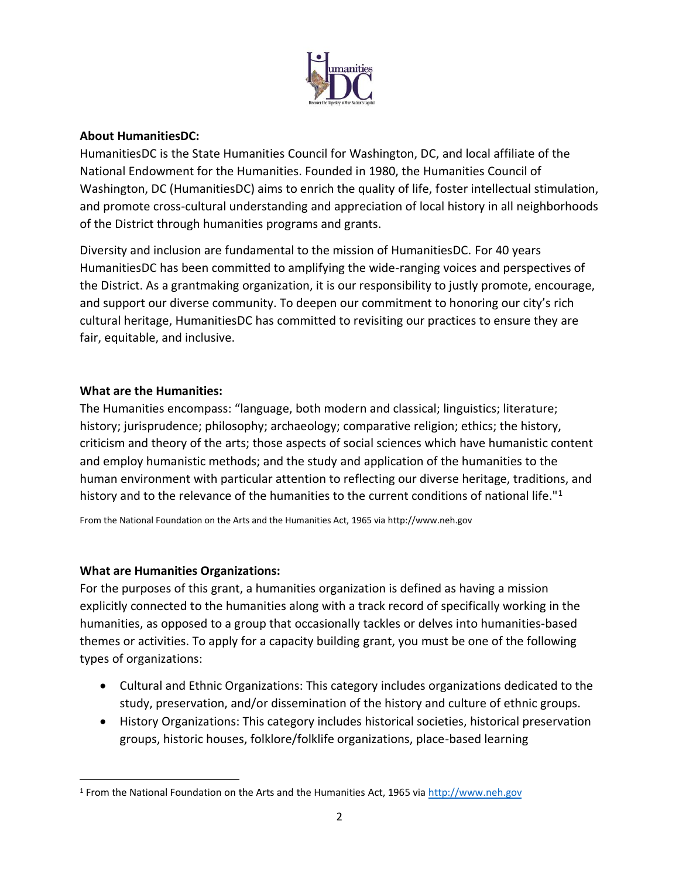

#### **About HumanitiesDC:**

HumanitiesDC is the State Humanities Council for Washington, DC, and local affiliate of the National Endowment for the Humanities. Founded in 1980, the Humanities Council of Washington, DC (HumanitiesDC) aims to enrich the quality of life, foster intellectual stimulation, and promote cross-cultural understanding and appreciation of local history in all neighborhoods of the District through humanities programs and grants.

Diversity and inclusion are fundamental to the mission of HumanitiesDC. For 40 years HumanitiesDC has been committed to amplifying the wide-ranging voices and perspectives of the District. As a grantmaking organization, it is our responsibility to justly promote, encourage, and support our diverse community. To deepen our commitment to honoring our city's rich cultural heritage, HumanitiesDC has committed to revisiting our practices to ensure they are fair, equitable, and inclusive.

#### **What are the Humanities:**

The Humanities encompass: "language, both modern and classical; linguistics; literature; history; jurisprudence; philosophy; archaeology; comparative religion; ethics; the history, criticism and theory of the arts; those aspects of social sciences which have humanistic content and employ humanistic methods; and the study and application of the humanities to the human environment with particular attention to reflecting our diverse heritage, traditions, and history and to the relevance of the humanities to the current conditions of national life."<sup>1</sup>

From the National Foundation on the Arts and the Humanities Act, 1965 via http://www.neh.gov

## **What are Humanities Organizations:**

For the purposes of this grant, a humanities organization is defined as having a mission explicitly connected to the humanities along with a track record of specifically working in the humanities, as opposed to a group that occasionally tackles or delves into humanities-based themes or activities. To apply for a capacity building grant, you must be one of the following types of organizations:

- Cultural and Ethnic Organizations: This category includes organizations dedicated to the study, preservation, and/or dissemination of the history and culture of ethnic groups.
- History Organizations: This category includes historical societies, historical preservation groups, historic houses, folklore/folklife organizations, place-based learning

<sup>1</sup> From the National Foundation on the Arts and the Humanities Act, 1965 via [http://www.neh.gov](http://www.neh.gov/)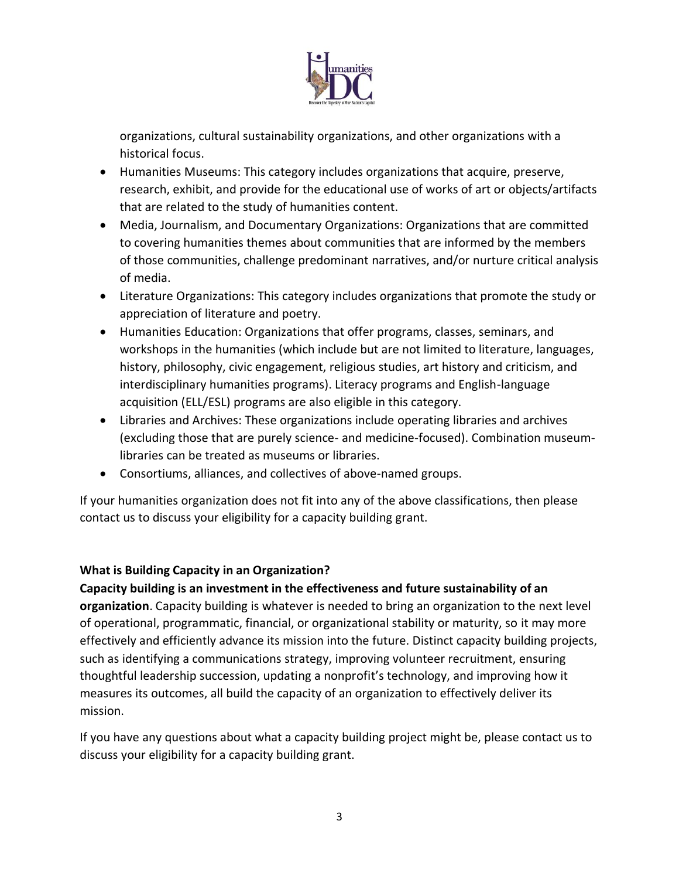

organizations, cultural sustainability organizations, and other organizations with a historical focus.

- Humanities Museums: This category includes organizations that acquire, preserve, research, exhibit, and provide for the educational use of works of art or objects/artifacts that are related to the study of humanities content.
- Media, Journalism, and Documentary Organizations: Organizations that are committed to covering humanities themes about communities that are informed by the members of those communities, challenge predominant narratives, and/or nurture critical analysis of media.
- Literature Organizations: This category includes organizations that promote the study or appreciation of literature and poetry.
- Humanities Education: Organizations that offer programs, classes, seminars, and workshops in the humanities (which include but are not limited to literature, languages, history, philosophy, civic engagement, religious studies, art history and criticism, and interdisciplinary humanities programs). Literacy programs and English-language acquisition (ELL/ESL) programs are also eligible in this category.
- Libraries and Archives: These organizations include operating libraries and archives (excluding those that are purely science- and medicine-focused). Combination museumlibraries can be treated as museums or libraries.
- Consortiums, alliances, and collectives of above-named groups.

If your humanities organization does not fit into any of the above classifications, then please contact us to discuss your eligibility for a capacity building grant.

## **What is Building Capacity in an Organization?**

**Capacity building is an investment in the effectiveness and future sustainability of an organization**. Capacity building is whatever is needed to bring an organization to the next level of operational, programmatic, financial, or organizational stability or maturity, so it may more effectively and efficiently advance its mission into the future. Distinct capacity building projects, such as identifying a communications strategy, improving volunteer recruitment, ensuring thoughtful leadership succession, updating a nonprofit's technology, and improving how it measures its outcomes, all build the capacity of an organization to effectively deliver its mission.

If you have any questions about what a capacity building project might be, please contact us to discuss your eligibility for a capacity building grant.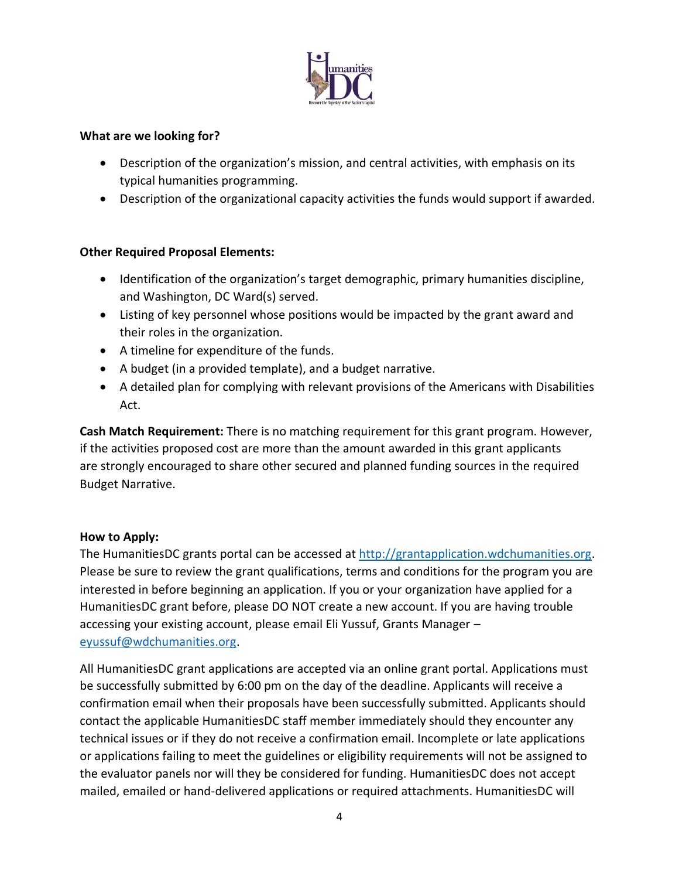

#### **What are we looking for?**

- Description of the organization's mission, and central activities, with emphasis on its typical humanities programming.
- Description of the organizational capacity activities the funds would support if awarded.

## **Other Required Proposal Elements:**

- Identification of the organization's target demographic, primary humanities discipline, and Washington, DC Ward(s) served.
- Listing of key personnel whose positions would be impacted by the grant award and their roles in the organization.
- A timeline for expenditure of the funds.
- A budget (in a provided template), and a budget narrative.
- A detailed plan for complying with relevant provisions of the Americans with Disabilities Act.

**Cash Match Requirement:** There is no matching requirement for this grant program. However, if the activities proposed cost are more than the amount awarded in this grant applicants are strongly encouraged to share other secured and planned funding sources in the required Budget Narrative.

#### **How to Apply:**

The HumanitiesDC grants portal can be accessed at [http://grantapplication.wdchumanities.org.](http://grantapplication.wdchumanities.org/) Please be sure to review the grant qualifications, terms and conditions for the program you are interested in before beginning an application. If you or your organization have applied for a HumanitiesDC grant before, please DO NOT create a new account. If you are having trouble accessing your existing account, please email Eli Yussuf, Grants Manager – [eyussuf@wdchumanities.org.](mailto:eyussuf@wdchumanities.org)

All HumanitiesDC grant applications are accepted via an online grant portal. Applications must be successfully submitted by 6:00 pm on the day of the deadline. Applicants will receive a confirmation email when their proposals have been successfully submitted. Applicants should contact the applicable HumanitiesDC staff member immediately should they encounter any technical issues or if they do not receive a confirmation email. Incomplete or late applications or applications failing to meet the guidelines or eligibility requirements will not be assigned to the evaluator panels nor will they be considered for funding. HumanitiesDC does not accept mailed, emailed or hand-delivered applications or required attachments. HumanitiesDC will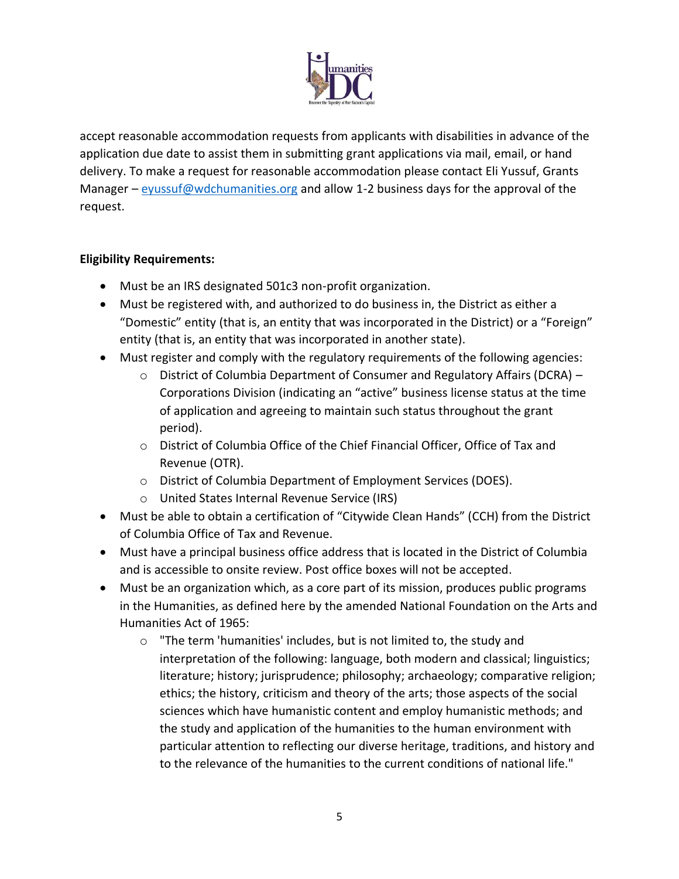

accept reasonable accommodation requests from applicants with disabilities in advance of the application due date to assist them in submitting grant applications via mail, email, or hand delivery. To make a request for reasonable accommodation please contact Eli Yussuf, Grants Manager – [eyussuf@wdchumanities.org](mailto:eyussuf@wdchumanities.org) and allow 1-2 business days for the approval of the request.

## **Eligibility Requirements:**

- Must be an IRS designated 501c3 non-profit organization.
- Must be registered with, and authorized to do business in, the District as either a "Domestic" entity (that is, an entity that was incorporated in the District) or a "Foreign" entity (that is, an entity that was incorporated in another state).
- Must register and comply with the regulatory requirements of the following agencies:
	- o District of Columbia Department of Consumer and Regulatory Affairs (DCRA) Corporations Division (indicating an "active" business license status at the time of application and agreeing to maintain such status throughout the grant period).
	- o District of Columbia Office of the Chief Financial Officer, Office of Tax and Revenue (OTR).
	- o District of Columbia Department of Employment Services (DOES).
	- o United States Internal Revenue Service (IRS)
- Must be able to obtain a certification of "Citywide Clean Hands" (CCH) from the District of Columbia Office of Tax and Revenue.
- Must have a principal business office address that is located in the District of Columbia and is accessible to onsite review. Post office boxes will not be accepted.
- Must be an organization which, as a core part of its mission, produces public programs in the Humanities, as defined here by the amended National Foundation on the Arts and Humanities Act of 1965:
	- o "The term 'humanities' includes, but is not limited to, the study and interpretation of the following: language, both modern and classical; linguistics; literature; history; jurisprudence; philosophy; archaeology; comparative religion; ethics; the history, criticism and theory of the arts; those aspects of the social sciences which have humanistic content and employ humanistic methods; and the study and application of the humanities to the human environment with particular attention to reflecting our diverse heritage, traditions, and history and to the relevance of the humanities to the current conditions of national life."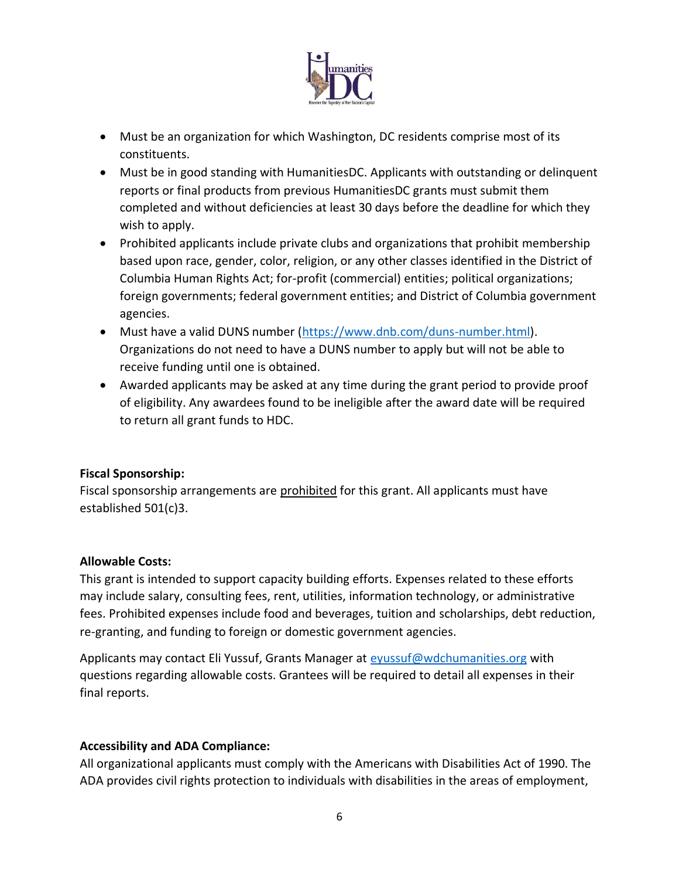

- Must be an organization for which Washington, DC residents comprise most of its constituents.
- Must be in good standing with HumanitiesDC. Applicants with outstanding or delinquent reports or final products from previous HumanitiesDC grants must submit them completed and without deficiencies at least 30 days before the deadline for which they wish to apply.
- Prohibited applicants include private clubs and organizations that prohibit membership based upon race, gender, color, religion, or any other classes identified in the District of Columbia Human Rights Act; for-profit (commercial) entities; political organizations; foreign governments; federal government entities; and District of Columbia government agencies.
- Must have a valid DUNS number [\(https://www.dnb.com/duns-number.html\)](https://www.dnb.com/duns-number.html). Organizations do not need to have a DUNS number to apply but will not be able to receive funding until one is obtained.
- Awarded applicants may be asked at any time during the grant period to provide proof of eligibility. Any awardees found to be ineligible after the award date will be required to return all grant funds to HDC.

# **Fiscal Sponsorship:**

Fiscal sponsorship arrangements are prohibited for this grant. All applicants must have established 501(c)3.

## **Allowable Costs:**

This grant is intended to support capacity building efforts. Expenses related to these efforts may include salary, consulting fees, rent, utilities, information technology, or administrative fees. Prohibited expenses include food and beverages, tuition and scholarships, debt reduction, re-granting, and funding to foreign or domestic government agencies.

Applicants may contact Eli Yussuf, Grants Manager at [eyussuf@wdchumanities.org](mailto:eyussuf@wdchumanities.org) with questions regarding allowable costs. Grantees will be required to detail all expenses in their final reports.

# **Accessibility and ADA Compliance:**

All organizational applicants must comply with the Americans with Disabilities Act of 1990. The ADA provides civil rights protection to individuals with disabilities in the areas of employment,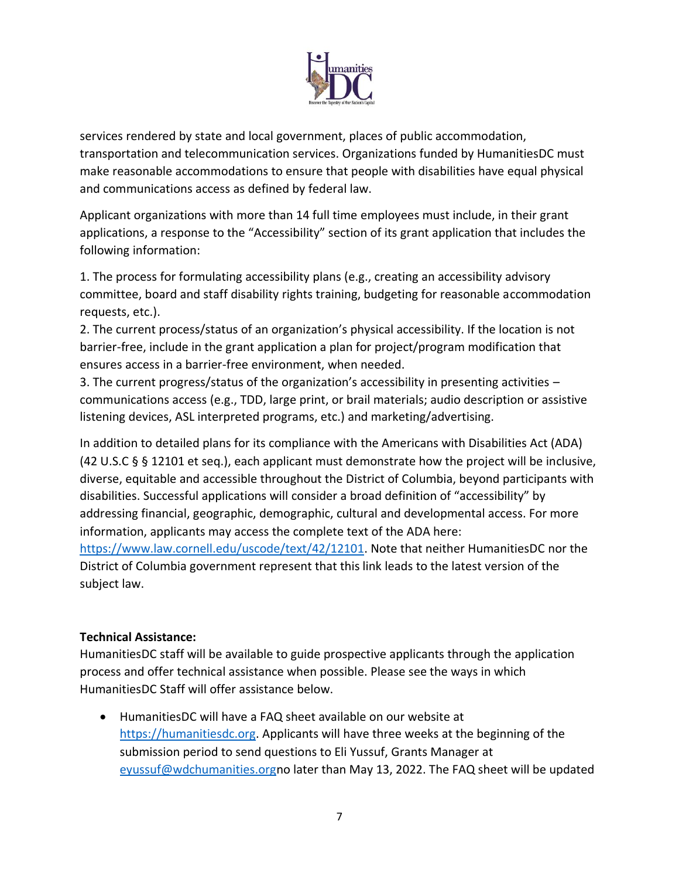

services rendered by state and local government, places of public accommodation, transportation and telecommunication services. Organizations funded by HumanitiesDC must make reasonable accommodations to ensure that people with disabilities have equal physical and communications access as defined by federal law.

Applicant organizations with more than 14 full time employees must include, in their grant applications, a response to the "Accessibility" section of its grant application that includes the following information:

1. The process for formulating accessibility plans (e.g., creating an accessibility advisory committee, board and staff disability rights training, budgeting for reasonable accommodation requests, etc.).

2. The current process/status of an organization's physical accessibility. If the location is not barrier-free, include in the grant application a plan for project/program modification that ensures access in a barrier-free environment, when needed.

3. The current progress/status of the organization's accessibility in presenting activities – communications access (e.g., TDD, large print, or brail materials; audio description or assistive listening devices, ASL interpreted programs, etc.) and marketing/advertising.

In addition to detailed plans for its compliance with the Americans with Disabilities Act (ADA) (42 U.S.C § § 12101 et seq.), each applicant must demonstrate how the project will be inclusive, diverse, equitable and accessible throughout the District of Columbia, beyond participants with disabilities. Successful applications will consider a broad definition of "accessibility" by addressing financial, geographic, demographic, cultural and developmental access. For more information, applicants may access the complete text of the ADA here: https://www.law.cornell.edu/uscode/text/42/12101</u>. Note that neither HumanitiesDC nor the District of Columbia government represent that this link leads to the latest version of the subject law.

## **Technical Assistance:**

HumanitiesDC staff will be available to guide prospective applicants through the application process and offer technical assistance when possible. Please see the ways in which HumanitiesDC Staff will offer assistance below.

• HumanitiesDC will have a FAQ sheet available on our website at [https://humanitiesdc.org.](https://humanitiesdc.org/) Applicants will have three weeks at the beginning of the submission period to send questions to Eli Yussuf, Grants Manager at [eyussuf@wdchumanities.orgn](mailto:eyussuf@wdchumanities.org)o later than May 13, 2022. The FAQ sheet will be updated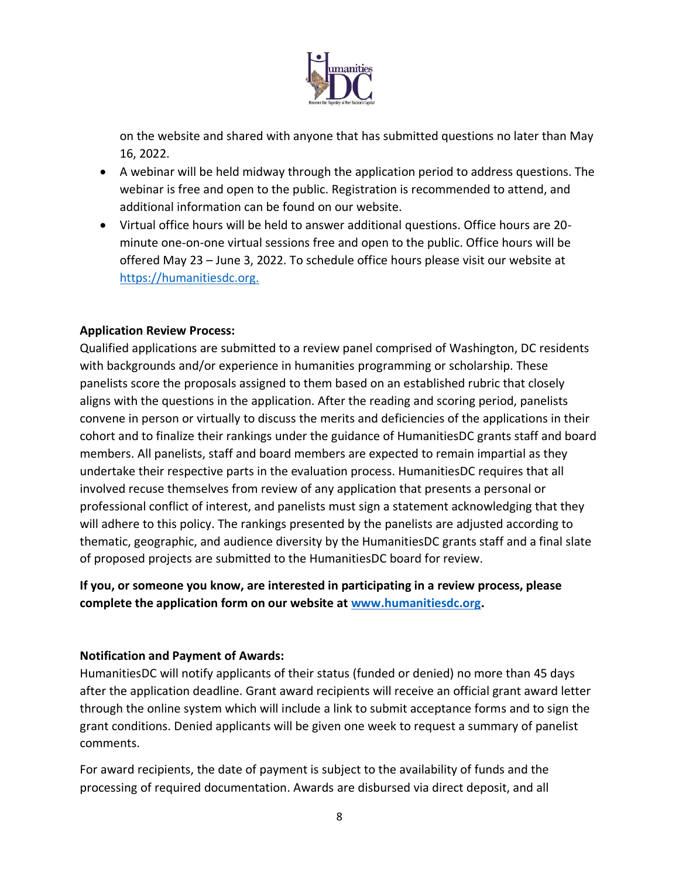

on the website and shared with anyone that has submitted questions no later than May 16, 2022.

- A webinar will be held midway through the application period to address questions. The webinar is free and open to the public. Registration is recommended to attend, and additional information can be found on our website.
- Virtual office hours will be held to answer additional questions. Office hours are 20 minute one-on-one virtual sessions free and open to the public. Office hours will be offered May 23 – June 3, 2022. To schedule office hours please visit our website at [https://humanitiesdc.org.](https://humanitiesdc.org/grants/)

## **Application Review Process:**

Qualified applications are submitted to a review panel comprised of Washington, DC residents with backgrounds and/or experience in humanities programming or scholarship. These panelists score the proposals assigned to them based on an established rubric that closely aligns with the questions in the application. After the reading and scoring period, panelists convene in person or virtually to discuss the merits and deficiencies of the applications in their cohort and to finalize their rankings under the guidance of HumanitiesDC grants staff and board members. All panelists, staff and board members are expected to remain impartial as they undertake their respective parts in the evaluation process. HumanitiesDC requires that all involved recuse themselves from review of any application that presents a personal or professional conflict of interest, and panelists must sign a statement acknowledging that they will adhere to this policy. The rankings presented by the panelists are adjusted according to thematic, geographic, and audience diversity by the HumanitiesDC grants staff and a final slate of proposed projects are submitted to the HumanitiesDC board for review.

**If you, or someone you know, are interested in participating in a review process, please complete the application form on our website at [www.humanitiesdc.org.](http://www.humanitiesdc.org/)**

#### **Notification and Payment of Awards:**

HumanitiesDC will notify applicants of their status (funded or denied) no more than 45 days after the application deadline. Grant award recipients will receive an official grant award letter through the online system which will include a link to submit acceptance forms and to sign the grant conditions. Denied applicants will be given one week to request a summary of panelist comments.

For award recipients, the date of payment is subject to the availability of funds and the processing of required documentation. Awards are disbursed via direct deposit, and all